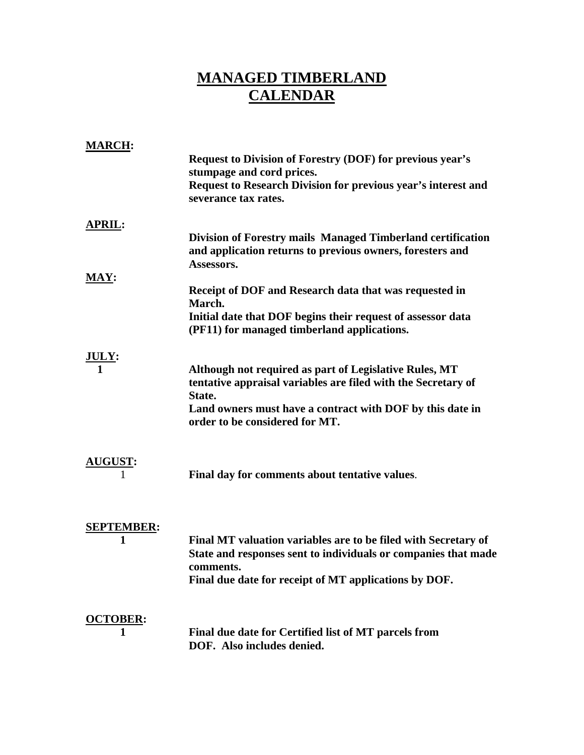## **MANAGED TIMBERLAND CALENDAR**

| <b>MARCH:</b>     |                                                                                                                                        |
|-------------------|----------------------------------------------------------------------------------------------------------------------------------------|
|                   | <b>Request to Division of Forestry (DOF) for previous year's</b><br>stumpage and cord prices.                                          |
|                   | <b>Request to Research Division for previous year's interest and</b><br>severance tax rates.                                           |
| <b>APRIL:</b>     |                                                                                                                                        |
|                   | Division of Forestry mails Managed Timberland certification<br>and application returns to previous owners, foresters and<br>Assessors. |
| <b>MAY:</b>       |                                                                                                                                        |
|                   | Receipt of DOF and Research data that was requested in<br>March.                                                                       |
|                   | Initial date that DOF begins their request of assessor data<br>(PF11) for managed timberland applications.                             |
| <u>JULY:</u>      |                                                                                                                                        |
|                   | Although not required as part of Legislative Rules, MT<br>tentative appraisal variables are filed with the Secretary of                |
|                   | State.<br>Land owners must have a contract with DOF by this date in<br>order to be considered for MT.                                  |
| <b>AUGUST:</b>    |                                                                                                                                        |
| 1                 | Final day for comments about tentative values.                                                                                         |
| <b>SEPTEMBER:</b> |                                                                                                                                        |
| 1                 | Final MT valuation variables are to be filed with Secretary of                                                                         |
|                   | State and responses sent to individuals or companies that made                                                                         |
|                   | comments.<br>Final due date for receipt of MT applications by DOF.                                                                     |
| <b>OCTOBER:</b>   |                                                                                                                                        |
| 1                 | Final due date for Certified list of MT parcels from<br>DOF. Also includes denied.                                                     |